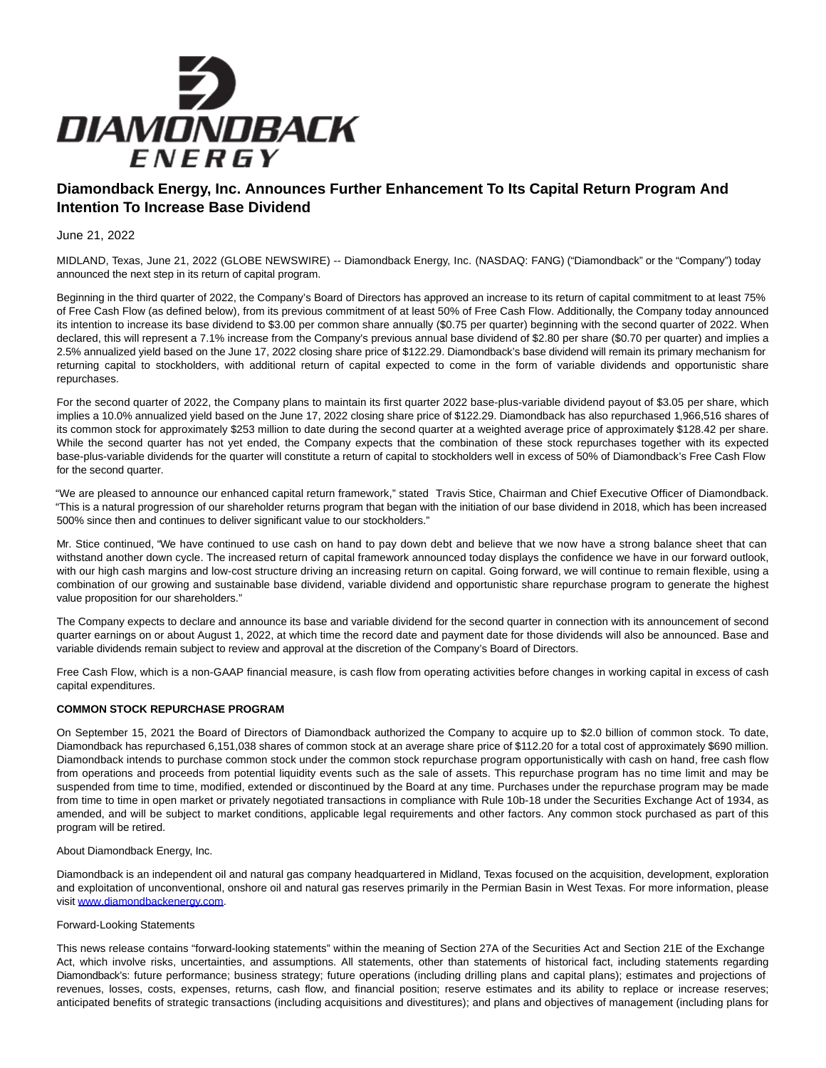

## **Diamondback Energy, Inc. Announces Further Enhancement To Its Capital Return Program And Intention To Increase Base Dividend**

June 21, 2022

MIDLAND, Texas, June 21, 2022 (GLOBE NEWSWIRE) -- Diamondback Energy, Inc. (NASDAQ: FANG) ("Diamondback" or the "Company") today announced the next step in its return of capital program.

Beginning in the third quarter of 2022, the Company's Board of Directors has approved an increase to its return of capital commitment to at least 75% of Free Cash Flow (as defined below), from its previous commitment of at least 50% of Free Cash Flow. Additionally, the Company today announced its intention to increase its base dividend to \$3.00 per common share annually (\$0.75 per quarter) beginning with the second quarter of 2022. When declared, this will represent a 7.1% increase from the Company's previous annual base dividend of \$2.80 per share (\$0.70 per quarter) and implies a 2.5% annualized yield based on the June 17, 2022 closing share price of \$122.29. Diamondback's base dividend will remain its primary mechanism for returning capital to stockholders, with additional return of capital expected to come in the form of variable dividends and opportunistic share repurchases.

For the second quarter of 2022, the Company plans to maintain its first quarter 2022 base-plus-variable dividend payout of \$3.05 per share, which implies a 10.0% annualized yield based on the June 17, 2022 closing share price of \$122.29. Diamondback has also repurchased 1,966,516 shares of its common stock for approximately \$253 million to date during the second quarter at a weighted average price of approximately \$128.42 per share. While the second quarter has not yet ended, the Company expects that the combination of these stock repurchases together with its expected base-plus-variable dividends for the quarter will constitute a return of capital to stockholders well in excess of 50% of Diamondback's Free Cash Flow for the second quarter.

"We are pleased to announce our enhanced capital return framework," stated Travis Stice, Chairman and Chief Executive Officer of Diamondback. "This is a natural progression of our shareholder returns program that began with the initiation of our base dividend in 2018, which has been increased 500% since then and continues to deliver significant value to our stockholders."

Mr. Stice continued, "We have continued to use cash on hand to pay down debt and believe that we now have a strong balance sheet that can withstand another down cycle. The increased return of capital framework announced today displays the confidence we have in our forward outlook, with our high cash margins and low-cost structure driving an increasing return on capital. Going forward, we will continue to remain flexible, using a combination of our growing and sustainable base dividend, variable dividend and opportunistic share repurchase program to generate the highest value proposition for our shareholders."

The Company expects to declare and announce its base and variable dividend for the second quarter in connection with its announcement of second quarter earnings on or about August 1, 2022, at which time the record date and payment date for those dividends will also be announced. Base and variable dividends remain subject to review and approval at the discretion of the Company's Board of Directors.

Free Cash Flow, which is a non-GAAP financial measure, is cash flow from operating activities before changes in working capital in excess of cash capital expenditures.

## **COMMON STOCK REPURCHASE PROGRAM**

On September 15, 2021 the Board of Directors of Diamondback authorized the Company to acquire up to \$2.0 billion of common stock. To date, Diamondback has repurchased 6,151,038 shares of common stock at an average share price of \$112.20 for a total cost of approximately \$690 million. Diamondback intends to purchase common stock under the common stock repurchase program opportunistically with cash on hand, free cash flow from operations and proceeds from potential liquidity events such as the sale of assets. This repurchase program has no time limit and may be suspended from time to time, modified, extended or discontinued by the Board at any time. Purchases under the repurchase program may be made from time to time in open market or privately negotiated transactions in compliance with Rule 10b-18 under the Securities Exchange Act of 1934, as amended, and will be subject to market conditions, applicable legal requirements and other factors. Any common stock purchased as part of this program will be retired.

## About Diamondback Energy, Inc.

Diamondback is an independent oil and natural gas company headquartered in Midland, Texas focused on the acquisition, development, exploration and exploitation of unconventional, onshore oil and natural gas reserves primarily in the Permian Basin in West Texas. For more information, please visit [www.diamondbackenergy.com.](https://www.globenewswire.com/Tracker?data=nzv9s6GIoAPTaSvXis_tCK18q5NuJWO9b-R8r4BE55Z64r6MnEsuXtfMDYkAWDY4zNEKdgaSw1dx2a2fpwXP-_GLq2GnTOIndUthtJ0KDFg=)

## Forward-Looking Statements

This news release contains "forward-looking statements" within the meaning of Section 27A of the Securities Act and Section 21E of the Exchange Act, which involve risks, uncertainties, and assumptions. All statements, other than statements of historical fact, including statements regarding Diamondback's: future performance; business strategy; future operations (including drilling plans and capital plans); estimates and projections of revenues, losses, costs, expenses, returns, cash flow, and financial position; reserve estimates and its ability to replace or increase reserves; anticipated benefits of strategic transactions (including acquisitions and divestitures); and plans and objectives of management (including plans for